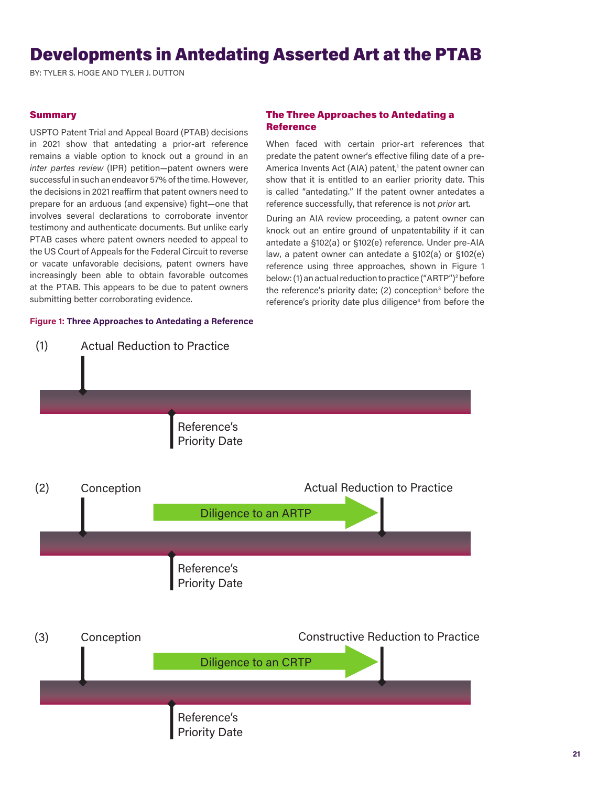# Developments in Antedating Asserted Art at the PTAB

BY: TYLER S. HOGE AND TYLER J. DUTTON

#### **Summary**

USPTO Patent Trial and Appeal Board (PTAB) decisions in 2021 show that antedating a prior-art reference remains a viable option to knock out a ground in an *inter partes review* (IPR) petition—patent owners were successful in such an endeavor 57% of the time. However, the decisions in 2021 reaffirm that patent owners need to prepare for an arduous (and expensive) fight—one that involves several declarations to corroborate inventor testimony and authenticate documents. But unlike early PTAB cases where patent owners needed to appeal to the US Court of Appeals for the Federal Circuit to reverse or vacate unfavorable decisions, patent owners have increasingly been able to obtain favorable outcomes at the PTAB. This appears to be due to patent owners submitting better corroborating evidence.

#### **Figure 1: Three Approaches to Antedating a Reference**

#### The Three Approaches to Antedating a **Reference**

When faced with certain prior-art references that predate the patent owner's effective filing date of a pre-America Invents Act (AIA) patent,<sup>1</sup> the patent owner can show that it is entitled to an earlier priority date. This is called "antedating." If the patent owner antedates a reference successfully, that reference is not *prior* art.

During an AIA review proceeding, a patent owner can knock out an entire ground of unpatentability if it can antedate a §102(a) or §102(e) reference. Under pre-AIA law, a patent owner can antedate a §102(a) or §102(e) reference using three approaches, shown in Figure 1 below: (1) an actual reduction to practice ("ARTP")<sup>2</sup> before the reference's priority date; (2) conception<sup>3</sup> before the reference's priority date plus diligence<sup>4</sup> from before the

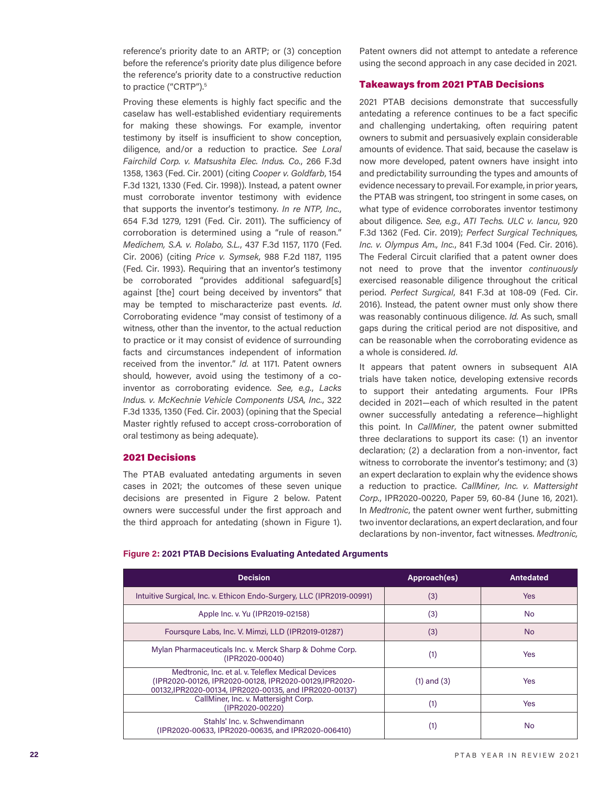reference's priority date to an ARTP; or (3) conception before the reference's priority date plus diligence before the reference's priority date to a constructive reduction to practice ("CRTP").<sup>5</sup>

Proving these elements is highly fact specific and the caselaw has well-established evidentiary requirements for making these showings. For example, inventor testimony by itself is insufficient to show conception, diligence, and/or a reduction to practice. *See Loral Fairchild Corp. v. Matsushita Elec. Indus. Co.*, 266 F.3d 1358, 1363 (Fed. Cir. 2001) (citing *Cooper v. Goldfarb*, 154 F.3d 1321, 1330 (Fed. Cir. 1998)). Instead, a patent owner must corroborate inventor testimony with evidence that supports the inventor's testimony. *In re NTP, Inc.*, 654 F.3d 1279, 1291 (Fed. Cir. 2011). The sufficiency of corroboration is determined using a "rule of reason." *Medichem, S.A. v. Rolabo, S.L.*, 437 F.3d 1157, 1170 (Fed. Cir. 2006) (citing *Price v. Symsek*, 988 F.2d 1187, 1195 (Fed. Cir. 1993). Requiring that an inventor's testimony be corroborated "provides additional safeguard[s] against [the] court being deceived by inventors" that may be tempted to mischaracterize past events. *Id*. Corroborating evidence "may consist of testimony of a witness, other than the inventor, to the actual reduction to practice or it may consist of evidence of surrounding facts and circumstances independent of information received from the inventor." *Id.* at 1171. Patent owners should, however, avoid using the testimony of a coinventor as corroborating evidence. *See, e.g.*, *Lacks Indus. v. McKechnie Vehicle Components USA, Inc.*, 322 F.3d 1335, 1350 (Fed. Cir. 2003) (opining that the Special Master rightly refused to accept cross-corroboration of oral testimony as being adequate).

#### 2021 Decisions

The PTAB evaluated antedating arguments in seven cases in 2021; the outcomes of these seven unique decisions are presented in Figure 2 below. Patent owners were successful under the first approach and the third approach for antedating (shown in Figure 1).

Patent owners did not attempt to antedate a reference using the second approach in any case decided in 2021.

## Takeaways from 2021 PTAB Decisions

2021 PTAB decisions demonstrate that successfully antedating a reference continues to be a fact specific and challenging undertaking, often requiring patent owners to submit and persuasively explain considerable amounts of evidence. That said, because the caselaw is now more developed, patent owners have insight into and predictability surrounding the types and amounts of evidence necessary to prevail. For example, in prior years, the PTAB was stringent, too stringent in some cases, on what type of evidence corroborates inventor testimony about diligence. *See, e.g.*, *ATI Techs. ULC v. Iancu*, 920 F.3d 1362 (Fed. Cir. 2019); *Perfect Surgical Techniques, Inc. v. Olympus Am., Inc.*, 841 F.3d 1004 (Fed. Cir. 2016). The Federal Circuit clarified that a patent owner does not need to prove that the inventor *continuously* exercised reasonable diligence throughout the critical period. *Perfect Surgical*, 841 F.3d at 108-09 (Fed. Cir. 2016). Instead, the patent owner must only show there was reasonably continuous diligence. *Id.* As such, small gaps during the critical period are not dispositive, and can be reasonable when the corroborating evidence as a whole is considered. *Id*.

It appears that patent owners in subsequent AIA trials have taken notice, developing extensive records to support their antedating arguments. Four IPRs decided in 2021—each of which resulted in the patent owner successfully antedating a reference—highlight this point. In *CallMiner*, the patent owner submitted three declarations to support its case: (1) an inventor declaration; (2) a declaration from a non-inventor, fact witness to corroborate the inventor's testimony; and (3) an expert declaration to explain why the evidence shows a reduction to practice. *CallMiner, Inc. v. Mattersight Corp.*, IPR2020-00220, Paper 59, 60-84 (June 16, 2021). In *Medtronic*, the patent owner went further, submitting two inventor declarations, an expert declaration, and four declarations by non-inventor, fact witnesses. *Medtronic,* 

# **Figure 2: 2021 PTAB Decisions Evaluating Antedated Arguments**

| <b>Decision</b>                                                                                                                                                        | Approach(es)    | <b>Antedated</b> |
|------------------------------------------------------------------------------------------------------------------------------------------------------------------------|-----------------|------------------|
| Intuitive Surgical, Inc. v. Ethicon Endo-Surgery, LLC (IPR2019-00991)                                                                                                  | (3)             | <b>Yes</b>       |
| Apple Inc. v. Yu (IPR2019-02158)                                                                                                                                       | (3)             | No.              |
| Foursqure Labs, Inc. V. Mimzi, LLD (IPR2019-01287)                                                                                                                     | (3)             | N <sub>o</sub>   |
| Mylan Pharmaceuticals Inc. v. Merck Sharp & Dohme Corp.<br>(IPR2020-00040)                                                                                             | (1)             | Yes              |
| Medtronic, Inc. et al. v. Teleflex Medical Devices<br>(IPR2020-00126, IPR2020-00128, IPR2020-00129, IPR2020-<br>00132.IPR2020-00134. IPR2020-00135. and IPR2020-00137) | $(1)$ and $(3)$ | Yes              |
| CallMiner, Inc. v. Mattersight Corp.<br>(IPR2020-00220)                                                                                                                | (1)             | <b>Yes</b>       |
| Stahls' Inc. v. Schwendimann<br>(IPR2020-00633, IPR2020-00635, and IPR2020-006410)                                                                                     |                 | <b>No</b>        |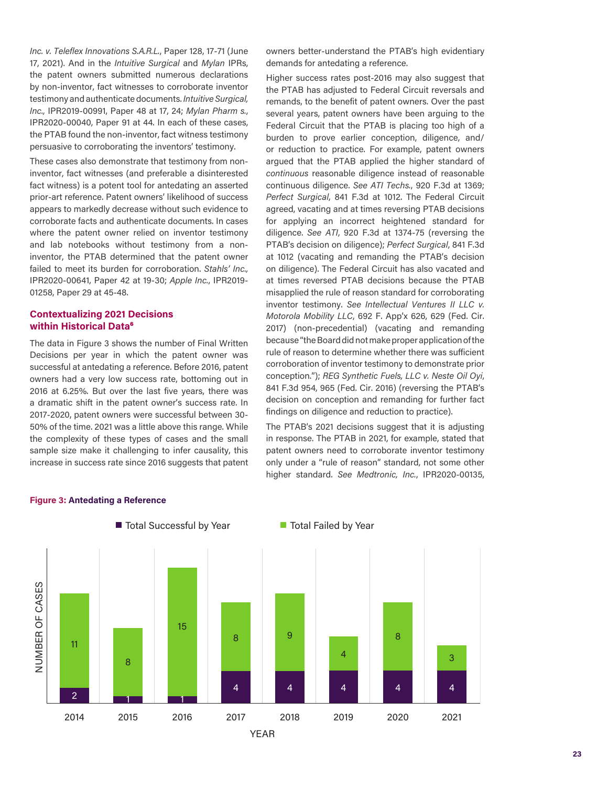*Inc. v. Teleflex Innovations S.A.R.L.*, Paper 128, 17-71 (June 17, 2021). And in the *Intuitive Surgical* and *Mylan* IPRs, the patent owners submitted numerous declarations by non-inventor, fact witnesses to corroborate inventor testimony and authenticate documents. *Intuitive Surgical, Inc.,* IPR2019-00991, Paper 48 at 17, 24; *Mylan Pharm s.*, IPR2020-00040, Paper 91 at 44. In each of these cases, the PTAB found the non-inventor, fact witness testimony persuasive to corroborating the inventors' testimony.

These cases also demonstrate that testimony from noninventor, fact witnesses (and preferable a disinterested fact witness) is a potent tool for antedating an asserted prior-art reference. Patent owners' likelihood of success appears to markedly decrease without such evidence to corroborate facts and authenticate documents. In cases where the patent owner relied on inventor testimony and lab notebooks without testimony from a noninventor, the PTAB determined that the patent owner failed to meet its burden for corroboration. *Stahls' Inc.,*  IPR2020-00641, Paper 42 at 19-30; *Apple Inc.*, IPR2019- 01258, Paper 29 at 45-48.

### **Contextualizing 2021 Decisions within Historical Data**<sup>6</sup>

The data in Figure 3 shows the number of Final Written Decisions per year in which the patent owner was successful at antedating a reference. Before 2016, patent owners had a very low success rate, bottoming out in 2016 at 6.25%. But over the last five years, there was a dramatic shift in the patent owner's success rate. In 2017-2020, patent owners were successful between 30- 50% of the time. 2021 was a little above this range. While the complexity of these types of cases and the small sample size make it challenging to infer causality, this increase in success rate since 2016 suggests that patent owners better-understand the PTAB's high evidentiary demands for antedating a reference.

Higher success rates post-2016 may also suggest that the PTAB has adjusted to Federal Circuit reversals and remands, to the benefit of patent owners. Over the past several years, patent owners have been arguing to the Federal Circuit that the PTAB is placing too high of a burden to prove earlier conception, diligence, and/ or reduction to practice. For example, patent owners argued that the PTAB applied the higher standard of *continuous* reasonable diligence instead of reasonable continuous diligence. *See ATI Techs.*, 920 F.3d at 1369; *Perfect Surgical*, 841 F.3d at 1012. The Federal Circuit agreed, vacating and at times reversing PTAB decisions for applying an incorrect heightened standard for diligence. *See ATI*, 920 F.3d at 1374-75 (reversing the PTAB's decision on diligence); *Perfect Surgical*, 841 F.3d at 1012 (vacating and remanding the PTAB's decision on diligence). The Federal Circuit has also vacated and at times reversed PTAB decisions because the PTAB misapplied the rule of reason standard for corroborating inventor testimony. *See Intellectual Ventures II LLC v. Motorola Mobility LLC*, 692 F. App'x 626, 629 (Fed. Cir. 2017) (non-precedential) (vacating and remanding because "the Board did not make proper application of the rule of reason to determine whether there was sufficient corroboration of inventor testimony to demonstrate prior conception."); *REG Synthetic Fuels, LLC v. Neste Oil Oyi*, 841 F.3d 954, 965 (Fed. Cir. 2016) (reversing the PTAB's decision on conception and remanding for further fact findings on diligence and reduction to practice).

The PTAB's 2021 decisions suggest that it is adjusting in response. The PTAB in 2021, for example, stated that patent owners need to corroborate inventor testimony only under a "rule of reason" standard, not some other higher standard. *See Medtronic, Inc.*, IPR2020-00135,



#### **Figure 3: Antedating a Reference**